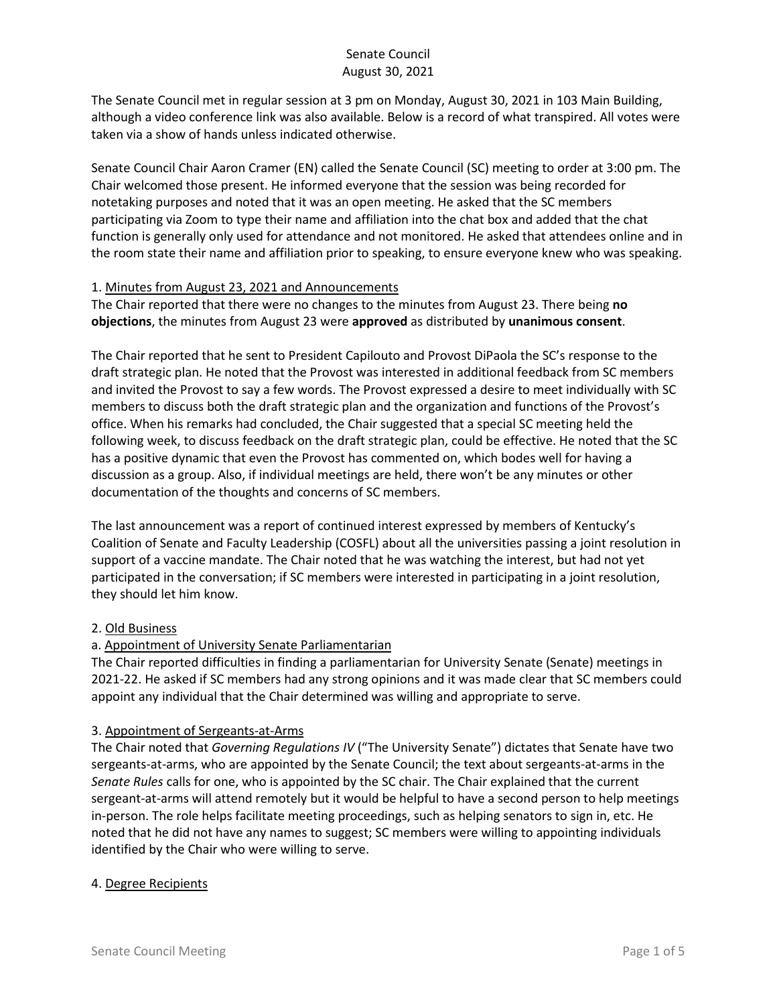The Senate Council met in regular session at 3 pm on Monday, August 30, 2021 in 103 Main Building, although a video conference link was also available. Below is a record of what transpired. All votes were taken via a show of hands unless indicated otherwise.

Senate Council Chair Aaron Cramer (EN) called the Senate Council (SC) meeting to order at 3:00 pm. The Chair welcomed those present. He informed everyone that the session was being recorded for notetaking purposes and noted that it was an open meeting. He asked that the SC members participating via Zoom to type their name and affiliation into the chat box and added that the chat function is generally only used for attendance and not monitored. He asked that attendees online and in the room state their name and affiliation prior to speaking, to ensure everyone knew who was speaking.

#### 1. Minutes from August 23, 2021 and Announcements

The Chair reported that there were no changes to the minutes from August 23. There being **no objections**, the minutes from August 23 were **approved** as distributed by **unanimous consent**.

The Chair reported that he sent to President Capilouto and Provost DiPaola the SC's response to the draft strategic plan. He noted that the Provost was interested in additional feedback from SC members and invited the Provost to say a few words. The Provost expressed a desire to meet individually with SC members to discuss both the draft strategic plan and the organization and functions of the Provost's office. When his remarks had concluded, the Chair suggested that a special SC meeting held the following week, to discuss feedback on the draft strategic plan, could be effective. He noted that the SC has a positive dynamic that even the Provost has commented on, which bodes well for having a discussion as a group. Also, if individual meetings are held, there won't be any minutes or other documentation of the thoughts and concerns of SC members.

The last announcement was a report of continued interest expressed by members of Kentucky's Coalition of Senate and Faculty Leadership (COSFL) about all the universities passing a joint resolution in support of a vaccine mandate. The Chair noted that he was watching the interest, but had not yet participated in the conversation; if SC members were interested in participating in a joint resolution, they should let him know.

### 2. Old Business

### a. Appointment of University Senate Parliamentarian

The Chair reported difficulties in finding a parliamentarian for University Senate (Senate) meetings in 2021-22. He asked if SC members had any strong opinions and it was made clear that SC members could appoint any individual that the Chair determined was willing and appropriate to serve.

### 3. Appointment of Sergeants-at-Arms

The Chair noted that *Governing Regulations IV* ("The University Senate") dictates that Senate have two sergeants-at-arms, who are appointed by the Senate Council; the text about sergeants-at-arms in the *Senate Rules* calls for one, who is appointed by the SC chair. The Chair explained that the current sergeant-at-arms will attend remotely but it would be helpful to have a second person to help meetings in-person. The role helps facilitate meeting proceedings, such as helping senators to sign in, etc. He noted that he did not have any names to suggest; SC members were willing to appointing individuals identified by the Chair who were willing to serve.

### 4. Degree Recipients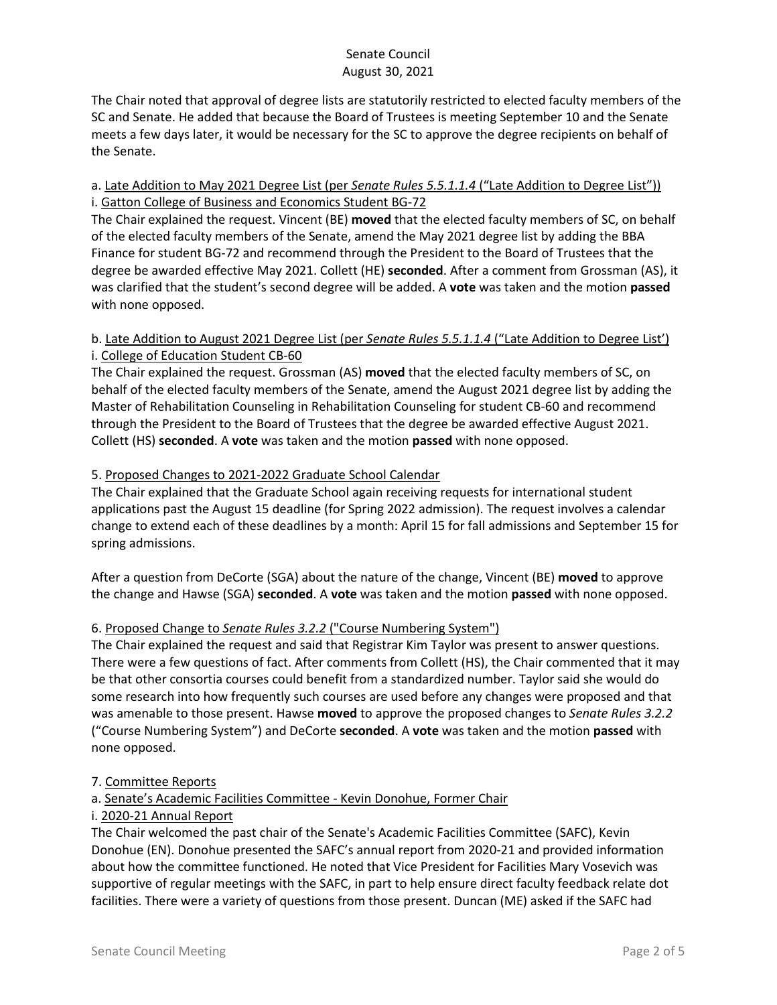The Chair noted that approval of degree lists are statutorily restricted to elected faculty members of the SC and Senate. He added that because the Board of Trustees is meeting September 10 and the Senate meets a few days later, it would be necessary for the SC to approve the degree recipients on behalf of the Senate.

# a. Late Addition to May 2021 Degree List (per *Senate Rules 5.5.1.1.4* ("Late Addition to Degree List")) i. Gatton College of Business and Economics Student BG-72

The Chair explained the request. Vincent (BE) **moved** that the elected faculty members of SC, on behalf of the elected faculty members of the Senate, amend the May 2021 degree list by adding the BBA Finance for student BG-72 and recommend through the President to the Board of Trustees that the degree be awarded effective May 2021. Collett (HE) **seconded**. After a comment from Grossman (AS), it was clarified that the student's second degree will be added. A **vote** was taken and the motion **passed** with none opposed.

# b. Late Addition to August 2021 Degree List (per *Senate Rules 5.5.1.1.4* ("Late Addition to Degree List') i. College of Education Student CB-60

The Chair explained the request. Grossman (AS) **moved** that the elected faculty members of SC, on behalf of the elected faculty members of the Senate, amend the August 2021 degree list by adding the Master of Rehabilitation Counseling in Rehabilitation Counseling for student CB-60 and recommend through the President to the Board of Trustees that the degree be awarded effective August 2021. Collett (HS) **seconded**. A **vote** was taken and the motion **passed** with none opposed.

## 5. Proposed Changes to 2021-2022 Graduate School Calendar

The Chair explained that the Graduate School again receiving requests for international student applications past the August 15 deadline (for Spring 2022 admission). The request involves a calendar change to extend each of these deadlines by a month: April 15 for fall admissions and September 15 for spring admissions.

After a question from DeCorte (SGA) about the nature of the change, Vincent (BE) **moved** to approve the change and Hawse (SGA) **seconded**. A **vote** was taken and the motion **passed** with none opposed.

## 6. Proposed Change to *Senate Rules 3.2.2* ("Course Numbering System")

The Chair explained the request and said that Registrar Kim Taylor was present to answer questions. There were a few questions of fact. After comments from Collett (HS), the Chair commented that it may be that other consortia courses could benefit from a standardized number. Taylor said she would do some research into how frequently such courses are used before any changes were proposed and that was amenable to those present. Hawse **moved** to approve the proposed changes to *Senate Rules 3.2.2*  ("Course Numbering System") and DeCorte **seconded**. A **vote** was taken and the motion **passed** with none opposed.

## 7. Committee Reports

## a. Senate's Academic Facilities Committee - Kevin Donohue, Former Chair

### i. 2020-21 Annual Report

The Chair welcomed the past chair of the Senate's Academic Facilities Committee (SAFC), Kevin Donohue (EN). Donohue presented the SAFC's annual report from 2020-21 and provided information about how the committee functioned. He noted that Vice President for Facilities Mary Vosevich was supportive of regular meetings with the SAFC, in part to help ensure direct faculty feedback relate dot facilities. There were a variety of questions from those present. Duncan (ME) asked if the SAFC had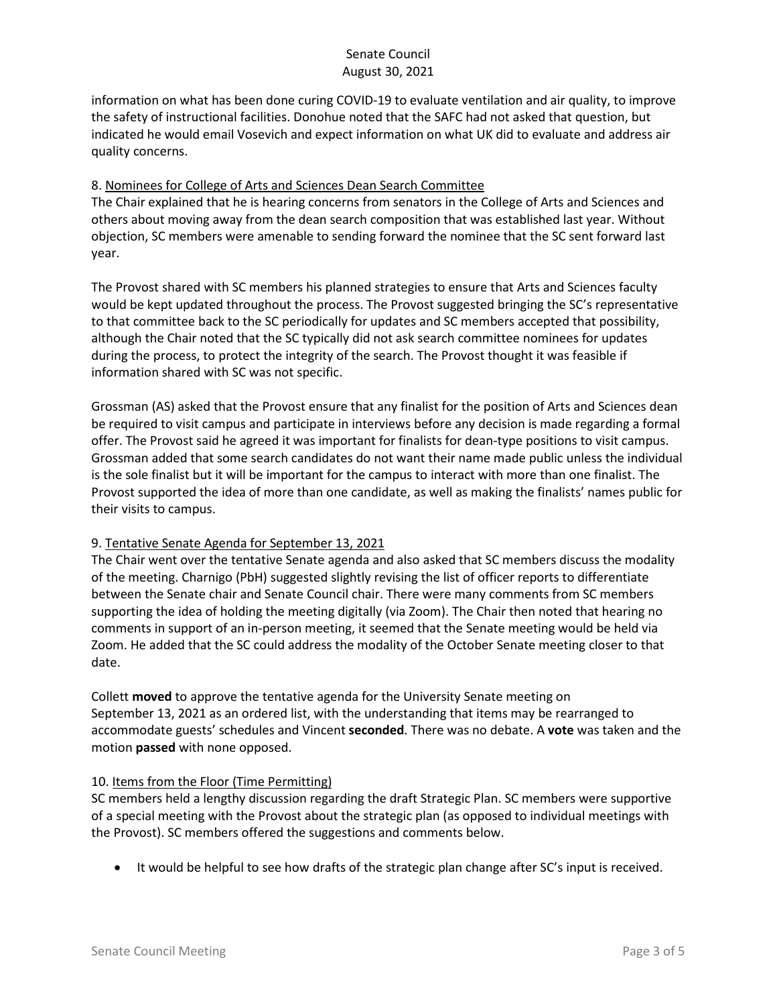information on what has been done curing COVID-19 to evaluate ventilation and air quality, to improve the safety of instructional facilities. Donohue noted that the SAFC had not asked that question, but indicated he would email Vosevich and expect information on what UK did to evaluate and address air quality concerns.

#### 8. Nominees for College of Arts and Sciences Dean Search Committee

The Chair explained that he is hearing concerns from senators in the College of Arts and Sciences and others about moving away from the dean search composition that was established last year. Without objection, SC members were amenable to sending forward the nominee that the SC sent forward last year.

The Provost shared with SC members his planned strategies to ensure that Arts and Sciences faculty would be kept updated throughout the process. The Provost suggested bringing the SC's representative to that committee back to the SC periodically for updates and SC members accepted that possibility, although the Chair noted that the SC typically did not ask search committee nominees for updates during the process, to protect the integrity of the search. The Provost thought it was feasible if information shared with SC was not specific.

Grossman (AS) asked that the Provost ensure that any finalist for the position of Arts and Sciences dean be required to visit campus and participate in interviews before any decision is made regarding a formal offer. The Provost said he agreed it was important for finalists for dean-type positions to visit campus. Grossman added that some search candidates do not want their name made public unless the individual is the sole finalist but it will be important for the campus to interact with more than one finalist. The Provost supported the idea of more than one candidate, as well as making the finalists' names public for their visits to campus.

### 9. Tentative Senate Agenda for September 13, 2021

The Chair went over the tentative Senate agenda and also asked that SC members discuss the modality of the meeting. Charnigo (PbH) suggested slightly revising the list of officer reports to differentiate between the Senate chair and Senate Council chair. There were many comments from SC members supporting the idea of holding the meeting digitally (via Zoom). The Chair then noted that hearing no comments in support of an in-person meeting, it seemed that the Senate meeting would be held via Zoom. He added that the SC could address the modality of the October Senate meeting closer to that date.

Collett **moved** to approve the tentative agenda for the University Senate meeting on September 13, 2021 as an ordered list, with the understanding that items may be rearranged to accommodate guests' schedules and Vincent **seconded**. There was no debate. A **vote** was taken and the motion **passed** with none opposed.

### 10. Items from the Floor (Time Permitting)

SC members held a lengthy discussion regarding the draft Strategic Plan. SC members were supportive of a special meeting with the Provost about the strategic plan (as opposed to individual meetings with the Provost). SC members offered the suggestions and comments below.

• It would be helpful to see how drafts of the strategic plan change after SC's input is received.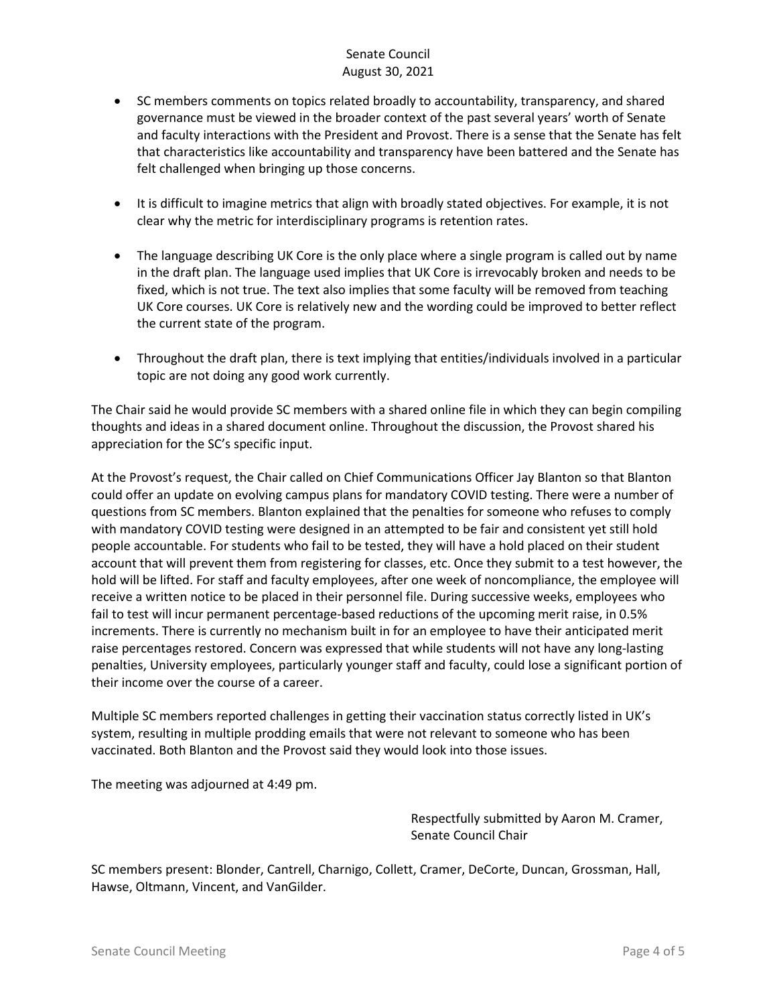### Senate Council August 30, 2021

- SC members comments on topics related broadly to accountability, transparency, and shared governance must be viewed in the broader context of the past several years' worth of Senate and faculty interactions with the President and Provost. There is a sense that the Senate has felt that characteristics like accountability and transparency have been battered and the Senate has felt challenged when bringing up those concerns.
- It is difficult to imagine metrics that align with broadly stated objectives. For example, it is not clear why the metric for interdisciplinary programs is retention rates.
- The language describing UK Core is the only place where a single program is called out by name in the draft plan. The language used implies that UK Core is irrevocably broken and needs to be fixed, which is not true. The text also implies that some faculty will be removed from teaching UK Core courses. UK Core is relatively new and the wording could be improved to better reflect the current state of the program.
- Throughout the draft plan, there is text implying that entities/individuals involved in a particular topic are not doing any good work currently.

The Chair said he would provide SC members with a shared online file in which they can begin compiling thoughts and ideas in a shared document online. Throughout the discussion, the Provost shared his appreciation for the SC's specific input.

At the Provost's request, the Chair called on Chief Communications Officer Jay Blanton so that Blanton could offer an update on evolving campus plans for mandatory COVID testing. There were a number of questions from SC members. Blanton explained that the penalties for someone who refuses to comply with mandatory COVID testing were designed in an attempted to be fair and consistent yet still hold people accountable. For students who fail to be tested, they will have a hold placed on their student account that will prevent them from registering for classes, etc. Once they submit to a test however, the hold will be lifted. For staff and faculty employees, after one week of noncompliance, the employee will receive a written notice to be placed in their personnel file. During successive weeks, employees who fail to test will incur permanent percentage-based reductions of the upcoming merit raise, in 0.5% increments. There is currently no mechanism built in for an employee to have their anticipated merit raise percentages restored. Concern was expressed that while students will not have any long-lasting penalties, University employees, particularly younger staff and faculty, could lose a significant portion of their income over the course of a career.

Multiple SC members reported challenges in getting their vaccination status correctly listed in UK's system, resulting in multiple prodding emails that were not relevant to someone who has been vaccinated. Both Blanton and the Provost said they would look into those issues.

The meeting was adjourned at 4:49 pm.

Respectfully submitted by Aaron M. Cramer, Senate Council Chair

SC members present: Blonder, Cantrell, Charnigo, Collett, Cramer, DeCorte, Duncan, Grossman, Hall, Hawse, Oltmann, Vincent, and VanGilder.